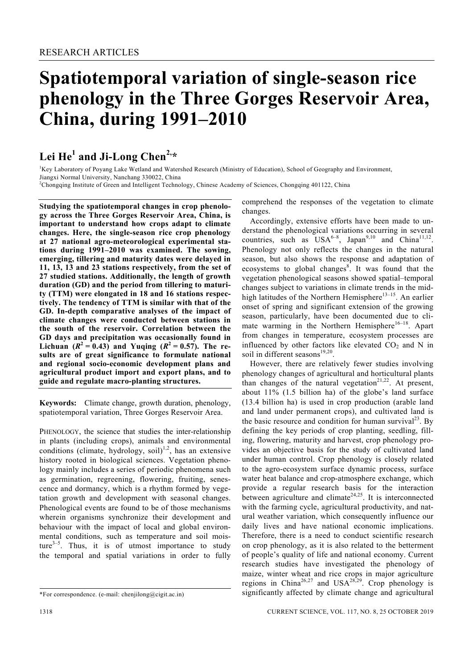# **Spatiotemporal variation of single-season rice phenology in the Three Gorges Reservoir Area, China, during 1991–2010**

# **Lei He<sup>1</sup> and Ji-Long Chen2,\***

Key Laboratory of Poyang Lake Wetland and Watershed Research (Ministry of Education), School of Geography and Environment, Jiangxi Normal University, Nanchang 330022, China

2 Chongqing Institute of Green and Intelligent Technology, Chinese Academy of Sciences, Chongqing 401122, China

**Studying the spatiotemporal changes in crop phenology across the Three Gorges Reservoir Area, China, is important to understand how crops adapt to climate changes. Here, the single-season rice crop phenology at 27 national agro-meteorological experimental stations during 1991–2010 was examined. The sowing, emerging, tillering and maturity dates were delayed in 11, 13, 13 and 23 stations respectively, from the set of 27 studied stations. Additionally, the length of growth duration (GD) and the period from tillering to maturity (TTM) were elongated in 18 and 16 stations respectively. The tendency of TTM is similar with that of the GD. In-depth comparative analyses of the impact of climate changes were conducted between stations in the south of the reservoir. Correlation between the GD days and precipitation was occasionally found in**  Lichuan  $(R^2 = 0.43)$  and Yuqing  $(R^2 = 0.57)$ . The re**sults are of great significance to formulate national and regional socio-economic development plans and agricultural product import and export plans, and to guide and regulate macro-planting structures.** 

**Keywords:** Climate change, growth duration, phenology, spatiotemporal variation, Three Gorges Reservoir Area.

PHENOLOGY, the science that studies the inter-relationship in plants (including crops), animals and environmental conditions (climate, hydrology, soil) $^{1,2}$ , has an extensive history rooted in biological sciences. Vegetation phenology mainly includes a series of periodic phenomena such as germination, regreening, flowering, fruiting, senescence and dormancy, which is a rhythm formed by vegetation growth and development with seasonal changes. Phenological events are found to be of those mechanisms wherein organisms synchronize their development and behaviour with the impact of local and global environmental conditions, such as temperature and soil moisture $3-5$ . Thus, it is of utmost importance to study the temporal and spatial variations in order to fully comprehend the responses of the vegetation to climate changes.

 Accordingly, extensive efforts have been made to understand the phenological variations occurring in several countries, such as  $USA^{6-8}$ , Japan<sup>9,10</sup> and China<sup>11,12</sup>. Phenology not only reflects the changes in the natural season, but also shows the response and adaptation of ecosystems to global changes $\delta$ . It was found that the vegetation phenological seasons showed spatial–temporal changes subject to variations in climate trends in the midhigh latitudes of the Northern Hemisphere<sup>13–15</sup>. An earlier onset of spring and significant extension of the growing season, particularly, have been documented due to climate warming in the Northern Hemisphere<sup>16–18</sup>. Apart from changes in temperature, ecosystem processes are influenced by other factors like elevated  $CO<sub>2</sub>$  and N in soil in different seasons $19,20$ .

 However, there are relatively fewer studies involving phenology changes of agricultural and horticultural plants than changes of the natural vegetation<sup>21,22</sup>. At present, about 11% (1.5 billion ha) of the globe's land surface (13.4 billion ha) is used in crop production (arable land and land under permanent crops), and cultivated land is the basic resource and condition for human survival $^{23}$ . By defining the key periods of crop planting, seedling, filling, flowering, maturity and harvest, crop phenology provides an objective basis for the study of cultivated land under human control. Crop phenology is closely related to the agro-ecosystem surface dynamic process, surface water heat balance and crop-atmosphere exchange, which provide a regular research basis for the interaction between agriculture and climate<sup>24,25</sup>. It is interconnected with the farming cycle, agricultural productivity, and natural weather variation, which consequently influence our daily lives and have national economic implications. Therefore, there is a need to conduct scientific research on crop phenology, as it is also related to the betterment of people's quality of life and national economy. Current research studies have investigated the phenology of maize, winter wheat and rice crops in major agriculture regions in China<sup>26,27</sup> and USA<sup>28,29</sup>. Crop phenology is significantly affected by climate change and agricultural

<sup>\*</sup>For correspondence. (e-mail: chenjilong@cigit.ac.in)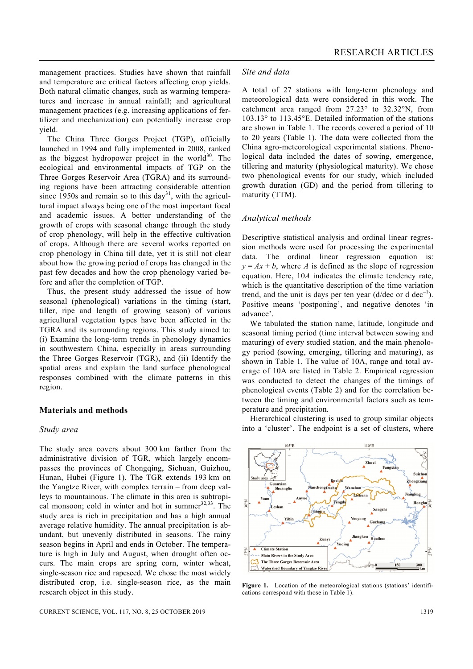management practices. Studies have shown that rainfall and temperature are critical factors affecting crop yields. Both natural climatic changes, such as warming temperatures and increase in annual rainfall; and agricultural management practices (e.g. increasing applications of fertilizer and mechanization) can potentially increase crop yield.

 The China Three Gorges Project (TGP), officially launched in 1994 and fully implemented in 2008, ranked as the biggest hydropower project in the world<sup>30</sup>. The ecological and environmental impacts of TGP on the Three Gorges Reservoir Area (TGRA) and its surrounding regions have been attracting considerable attention since 1950s and remain so to this day<sup>31</sup>, with the agricultural impact always being one of the most important focal and academic issues. A better understanding of the growth of crops with seasonal change through the study of crop phenology, will help in the effective cultivation of crops. Although there are several works reported on crop phenology in China till date, yet it is still not clear about how the growing period of crops has changed in the past few decades and how the crop phenology varied before and after the completion of TGP.

 Thus, the present study addressed the issue of how seasonal (phenological) variations in the timing (start, tiller, ripe and length of growing season) of various agricultural vegetation types have been affected in the TGRA and its surrounding regions. This study aimed to: (i) Examine the long-term trends in phenology dynamics in southwestern China, especially in areas surrounding the Three Gorges Reservoir (TGR), and (ii) Identify the spatial areas and explain the land surface phenological responses combined with the climate patterns in this region.

#### **Materials and methods**

#### *Study area*

The study area covers about 300 km farther from the administrative division of TGR, which largely encompasses the provinces of Chongqing, Sichuan, Guizhou, Hunan, Hubei (Figure 1). The TGR extends 193 km on the Yangtze River, with complex terrain – from deep valleys to mountainous. The climate in this area is subtropical monsoon; cold in winter and hot in summer $32,33$ . The study area is rich in precipitation and has a high annual average relative humidity. The annual precipitation is abundant, but unevenly distributed in seasons. The rainy season begins in April and ends in October. The temperature is high in July and August, when drought often occurs. The main crops are spring corn, winter wheat, single-season rice and rapeseed. We chose the most widely distributed crop, i.e. single-season rice, as the main research object in this study.

#### *Site and data*

A total of 27 stations with long-term phenology and meteorological data were considered in this work. The catchment area ranged from 27.23° to 32.32°N, from 103.13° to 113.45°E. Detailed information of the stations are shown in Table 1. The records covered a period of 10 to 20 years (Table 1). The data were collected from the China agro-meteorological experimental stations. Phenological data included the dates of sowing, emergence, tillering and maturity (physiological maturity). We chose two phenological events for our study, which included growth duration (GD) and the period from tillering to maturity (TTM).

#### *Analytical methods*

Descriptive statistical analysis and ordinal linear regression methods were used for processing the experimental data. The ordinal linear regression equation is:  $y = Ax + b$ , where *A* is defined as the slope of regression equation. Here, 10*A* indicates the climate tendency rate, which is the quantitative description of the time variation trend, and the unit is days per ten year  $(d/dec \text{ or } d \text{ dec}^{-1})$ . Positive means 'postponing', and negative denotes 'in advance'.

 We tabulated the station name, latitude, longitude and seasonal timing period (time interval between sowing and maturing) of every studied station, and the main phenology period (sowing, emerging, tillering and maturing), as shown in Table 1. The value of 10A, range and total average of 10A are listed in Table 2. Empirical regression was conducted to detect the changes of the timings of phenological events (Table 2) and for the correlation between the timing and environmental factors such as temperature and precipitation.

 Hierarchical clustering is used to group similar objects into a 'cluster'. The endpoint is a set of clusters, where



**Figure 1.** Location of the meteorological stations (stations' identifications correspond with those in Table 1).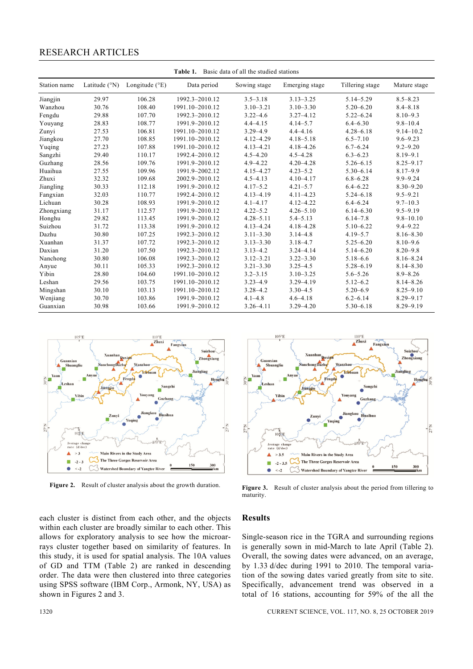### RESEARCH ARTICLES

| Basic data of all the studied stations<br>Table 1. |                        |                         |                 |               |                |                 |               |  |  |  |  |
|----------------------------------------------------|------------------------|-------------------------|-----------------|---------------|----------------|-----------------|---------------|--|--|--|--|
| Station name                                       | Latitude $(^{\circ}N)$ | Longitude $(^{\circ}E)$ | Data period     | Sowing stage  | Emerging stage | Tillering stage | Mature stage  |  |  |  |  |
| Jiangjin                                           | 29.97                  | 106.28                  | 1992.3-2010.12  | $3.5 - 3.18$  | $3.13 - 3.25$  | $5.14 - 5.29$   | $8.5 - 8.23$  |  |  |  |  |
| Wanzhou                                            | 30.76                  | 108.40                  | 1991.10-2010.12 | $3.10 - 3.21$ | $3.10 - 3.30$  | $5.20 - 6.20$   | $8.4 - 8.18$  |  |  |  |  |
| Fengdu                                             | 29.88                  | 107.70                  | 1992.3-2010.12  | $3.22 - 4.6$  | $3.27 - 4.12$  | $5.22 - 6.24$   | $8.10 - 9.3$  |  |  |  |  |
| Youyang                                            | 28.83                  | 108.77                  | 1991.9-2010.12  | $4.4 - 4.15$  | $4.14 - 5.7$   | $6.4 - 6.30$    | $9.8 - 10.4$  |  |  |  |  |
| Zunyi                                              | 27.53                  | 106.81                  | 1991.10-2010.12 | $3.29 - 4.9$  | $4.4 - 4.16$   | $4.28 - 6.18$   | $9.14 - 10.2$ |  |  |  |  |
| Jiangkou                                           | 27.70                  | 108.85                  | 1991.10-2010.12 | $4.12 - 4.29$ | $4.18 - 5.18$  | $6.5 - 7.10$    | $9.6 - 9.23$  |  |  |  |  |
| Yuqing                                             | 27.23                  | 107.88                  | 1991.10-2010.12 | $4.13 - 4.21$ | $4.18 - 4.26$  | $6.7 - 6.24$    | $9.2 - 9.20$  |  |  |  |  |
| Sangzhi                                            | 29.40                  | 110.17                  | 1992.4-2010.12  | $4.5 - 4.20$  | $4.5 - 4.28$   | $6.3 - 6.23$    | $8.19 - 9.1$  |  |  |  |  |
| Guzhang                                            | 28.56                  | 109.76                  | 1991.9-2010.12  | $4.9 - 4.22$  | $4.20 - 4.28$  | $5.26 - 6.15$   | $8.25 - 9.17$ |  |  |  |  |
| Huaihua                                            | 27.55                  | 109.96                  | 1991.9-2002.12  | $4.15 - 4.27$ | $4.23 - 5.2$   | $5.30 - 6.14$   | $8.17 - 9.9$  |  |  |  |  |
| Zhuxi                                              | 32.32                  | 109.68                  | 2002.9-2010.12  | $4.5 - 4.13$  | $4.10 - 4.17$  | $6.8 - 6.28$    | $9.9 - 9.24$  |  |  |  |  |
| Jiangling                                          | 30.33                  | 112.18                  | 1991.9-2010.12  | $4.17 - 5.2$  | $4.21 - 5.7$   | $6.4 - 6.22$    | $8.30 - 9.20$ |  |  |  |  |
| Fangxian                                           | 32.03                  | 110.77                  | 1992.4-2010.12  | $4.13 - 4.19$ | $4.11 - 4.23$  | $5.24 - 6.18$   | $9.5 - 9.21$  |  |  |  |  |
| Lichuan                                            | 30.28                  | 108.93                  | 1991.9-2010.12  | $4.1 - 4.17$  | $4.12 - 4.22$  | $6.4 - 6.24$    | $9.7 - 10.3$  |  |  |  |  |
| Zhongxiang                                         | 31.17                  | 112.57                  | 1991.9-2010.12  | $4.22 - 5.2$  | $4.26 - 5.10$  | $6.14 - 6.30$   | $9.5 - 9.19$  |  |  |  |  |
| Honghu                                             | 29.82                  | 113.45                  | 1991.9-2010.12  | $4.28 - 5.11$ | $5.4 - 5.13$   | $6.14 - 7.8$    | $9.8 - 10.10$ |  |  |  |  |
| Suizhou                                            | 31.72                  | 113.38                  | 1991.9-2010.12  | $4.13 - 4.24$ | $4.18 - 4.28$  | $5.10 - 6.22$   | $9.4 - 9.22$  |  |  |  |  |
| Dazhu                                              | 30.80                  | 107.25                  | 1992.3-2010.12  | $3.11 - 3.30$ | $3.14 - 4.8$   | $4.19 - 5.7$    | $8.16 - 8.30$ |  |  |  |  |
| Xuanhan                                            | 31.37                  | 107.72                  | 1992.3-2010.12  | $3.13 - 3.30$ | $3.18 - 4.7$   | $5.25 - 6.20$   | $8.10 - 9.6$  |  |  |  |  |
| Daxian                                             | 31.20                  | 107.50                  | 1992.3-2010.12  | $3.13 - 4.2$  | $3.24 - 4.14$  | $5.14 - 6.20$   | $8.20 - 9.8$  |  |  |  |  |
| Nanchong                                           | 30.80                  | 106.08                  | 1992.3-2010.12  | $3.12 - 3.21$ | $3.22 - 3.30$  | $5.18 - 6.6$    | $8.16 - 8.24$ |  |  |  |  |
| Anyue                                              | 30.11                  | 105.33                  | 1992.3-2010.12  | $3.21 - 3.30$ | $3.25 - 4.5$   | $5.28 - 6.19$   | $8.14 - 8.30$ |  |  |  |  |
| Yibin                                              | 28.80                  | 104.60                  | 1991.10-2010.12 | $3.2 - 3.15$  | $3.10 - 3.25$  | $5.6 - 5.26$    | $8.9 - 8.26$  |  |  |  |  |
| Leshan                                             | 29.56                  | 103.75                  | 1991.10-2010.12 | $3.23 - 4.9$  | 3.29-4.19      | $5.12 - 6.2$    | $8.14 - 8.26$ |  |  |  |  |
| Mingshan                                           | 30.10                  | 103.13                  | 1991.10-2010.12 | $3.28 - 4.2$  | $3.30 - 4.5$   | $5.20 - 6.9$    | $8.25 - 9.10$ |  |  |  |  |
| Wenjiang                                           | 30.70                  | 103.86                  | 1991.9-2010.12  | $4.1 - 4.8$   | $4.6 - 4.18$   | $6.2 - 6.14$    | $8.29 - 9.17$ |  |  |  |  |
| Guanxian                                           | 30.98                  | 103.66                  | 1991.9-2010.12  | $3.26 - 4.11$ | $3.29 - 4.20$  | $5.30 - 6.18$   | $8.29 - 9.19$ |  |  |  |  |





**Figure 2.** Result of cluster analysis about the growth duration. **Figure 3.** Result of cluster analysis about the period from tillering to maturity.

each cluster is distinct from each other, and the objects within each cluster are broadly similar to each other. This allows for exploratory analysis to see how the microarrays cluster together based on similarity of features. In this study, it is used for spatial analysis. The 10A values of GD and TTM (Table 2) are ranked in descending order. The data were then clustered into three categories using SPSS software (IBM Corp., Armonk, NY, USA) as shown in Figures 2 and 3.

## **Results**

Single-season rice in the TGRA and surrounding regions is generally sown in mid-March to late April (Table 2). Overall, the sowing dates were advanced, on an average, by 1.33 d/dec during 1991 to 2010. The temporal variation of the sowing dates varied greatly from site to site. Specifically, advancement trend was observed in a total of 16 stations, accounting for 59% of the all the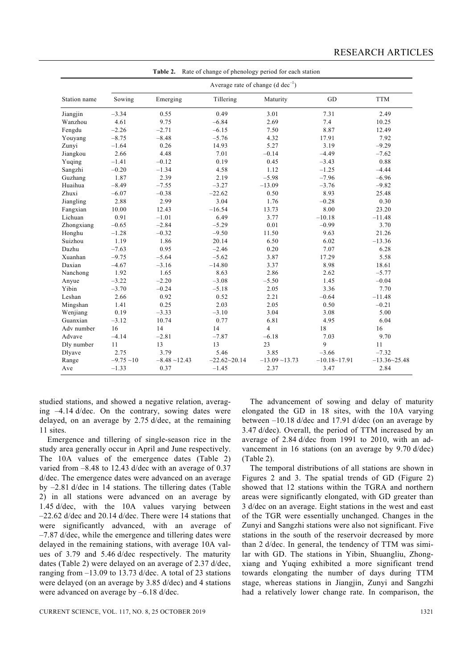| Table 2. Rate of change of phenology period for each station |                                               |                |                  |                  |                  |                  |  |  |  |  |
|--------------------------------------------------------------|-----------------------------------------------|----------------|------------------|------------------|------------------|------------------|--|--|--|--|
|                                                              | Average rate of change (d dec <sup>-1</sup> ) |                |                  |                  |                  |                  |  |  |  |  |
| Station name                                                 | Sowing                                        | Emerging       | Tillering        | Maturity         | GD               | <b>TTM</b>       |  |  |  |  |
| Jiangjin                                                     | $-3.34$                                       | 0.55           | 0.49             | 3.01             | 7.31             | 2.49             |  |  |  |  |
| Wanzhou                                                      | 4.61                                          | 9.75           | $-6.84$          | 2.69             | 7.4              | 10.25            |  |  |  |  |
| Fengdu                                                       | $-2.26$                                       | $-2.71$        | $-6.15$          | 7.50             | 8.87             | 12.49            |  |  |  |  |
| Youyang                                                      | $-8.75$                                       | $-8.48$        | $-5.76$          | 4.32             | 17.91            | 7.92             |  |  |  |  |
| Zunyi                                                        | $-1.64$                                       | 0.26           | 14.93            | 5.27             | 3.19             | $-9.29$          |  |  |  |  |
| Jiangkou                                                     | 2.66                                          | 4.48           | 7.01             | $-0.14$          | $-4.49$          | $-7.62$          |  |  |  |  |
| Yuqing                                                       | $-1.41$                                       | $-0.12$        | 0.19             | 0.45             | $-3.43$          | 0.88             |  |  |  |  |
| Sangzhi                                                      | $-0.20$                                       | $-1.34$        | 4.58             | 1.12             | $-1.25$          | $-4.44$          |  |  |  |  |
| Guzhang                                                      | 1.87                                          | 2.39           | 2.19             | $-5.98$          | $-7.96$          | $-6.96$          |  |  |  |  |
| Huaihua                                                      | $-8.49$                                       | $-7.55$        | $-3.27$          | $-13.09$         | $-3.76$          | $-9.82$          |  |  |  |  |
| Zhuxi                                                        | $-6.07$                                       | $-0.38$        | $-22.62$         | 0.50             | 8.93             | 25.48            |  |  |  |  |
| Jiangling                                                    | 2.88                                          | 2.99           | 3.04             | 1.76             | $-0.28$          | 0.30             |  |  |  |  |
| Fangxian                                                     | 10.00                                         | 12.43          | $-16.54$         | 13.73            | 8.00             | 23.20            |  |  |  |  |
| Lichuan                                                      | 0.91                                          | $-1.01$        | 6.49             | 3.77             | $-10.18$         | $-11.48$         |  |  |  |  |
| Zhongxiang                                                   | $-0.65$                                       | $-2.84$        | $-5.29$          | 0.01             | $-0.99$          | 3.70             |  |  |  |  |
| Honghu                                                       | $-1.28$                                       | $-0.32$        | $-9.50$          | 11.50            | 9.63             | 21.26            |  |  |  |  |
| Suizhou                                                      | 1.19                                          | 1.86           | 20.14            | 6.50             | 6.02             | $-13.36$         |  |  |  |  |
| Dazhu                                                        | $-7.63$                                       | 0.95           | $-2.46$          | 0.20             | 7.07             | 6.28             |  |  |  |  |
| Xuanhan                                                      | $-9.75$                                       | $-5.64$        | $-5.62$          | 3.87             | 17.29            | 5.58             |  |  |  |  |
| Daxian                                                       | $-4.67$                                       | $-3.16$        | $-14.80$         | 3.37             | 8.98             | 18.61            |  |  |  |  |
| Nanchong                                                     | 1.92                                          | 1.65           | 8.63             | 2.86             | 2.62             | $-5.77$          |  |  |  |  |
| Anyue                                                        | $-3.22$                                       | $-2.20$        | $-3.08$          | $-5.50$          | 1.45             | $-0.04$          |  |  |  |  |
| Yibin                                                        | $-3.70$                                       | $-0.24$        | $-5.18$          | 2.05             | 3.36             | 7.70             |  |  |  |  |
| Leshan                                                       | 2.66                                          | 0.92           | 0.52             | 2.21             | $-0.64$          | $-11.48$         |  |  |  |  |
| Mingshan                                                     | 1.41                                          | 0.25           | 2.03             | 2.05             | 0.50             | $-0.21$          |  |  |  |  |
| Wenjiang                                                     | 0.19                                          | $-3.33$        | $-3.10$          | 3.04             | 3.08             | 5.00             |  |  |  |  |
| Guanxian                                                     | $-3.12$                                       | 10.74          | 0.77             | 6.81             | 4.95             | 6.04             |  |  |  |  |
| Adv number                                                   | 16                                            | 14             | 14               | $\overline{4}$   | 18               | 16               |  |  |  |  |
| Advave                                                       | $-4.14$                                       | $-2.81$        | $-7.87$          | $-6.18$          | 7.03             | 9.70             |  |  |  |  |
| Dly number                                                   | 11                                            | 13             | 13               | 23               | 9                | 11               |  |  |  |  |
| Dlyave                                                       | 2.75                                          | 3.79           | 5.46             | 3.85             | $-3.66$          | $-7.32$          |  |  |  |  |
| Range                                                        | $-9.75 \sim 10$                               | $-8.48$ ~12.43 | $-22.62 - 20.14$ | $-13.09 - 13.73$ | $-10.18 - 17.91$ | $-13.36 - 25.48$ |  |  |  |  |
| Ave                                                          | $-1.33$                                       | 0.37           | $-1.45$          | 2.37             | 3.47             | 2.84             |  |  |  |  |

studied stations, and showed a negative relation, averaging –4.14 d/dec. On the contrary, sowing dates were delayed, on an average by 2.75 d/dec, at the remaining 11 sites.

 Emergence and tillering of single-season rice in the study area generally occur in April and June respectively. The 10A values of the emergence dates (Table 2) varied from –8.48 to 12.43 d/dec with an average of 0.37 d/dec. The emergence dates were advanced on an average by –2.81 d/dec in 14 stations. The tillering dates (Table 2) in all stations were advanced on an average by 1.45 d/dec, with the 10A values varying between –22.62 d/dec and 20.14 d/dec. There were 14 stations that were significantly advanced, with an average of –7.87 d/dec, while the emergence and tillering dates were delayed in the remaining stations, with average 10A values of 3.79 and 5.46 d/dec respectively. The maturity dates (Table 2) were delayed on an average of 2.37 d/dec, ranging from –13.09 to 13.73 d/dec. A total of 23 stations were delayed (on an average by 3.85 d/dec) and 4 stations were advanced on average by –6.18 d/dec.

 The advancement of sowing and delay of maturity elongated the GD in 18 sites, with the 10A varying between –10.18 d/dec and 17.91 d/dec (on an average by 3.47 d/dec). Overall, the period of TTM increased by an average of 2.84 d/dec from 1991 to 2010, with an advancement in 16 stations (on an average by 9.70 d/dec) (Table 2).

 The temporal distributions of all stations are shown in Figures 2 and 3. The spatial trends of GD (Figure 2) showed that 12 stations within the TGRA and northern areas were significantly elongated, with GD greater than 3 d/dec on an average. Eight stations in the west and east of the TGR were essentially unchanged. Changes in the Zunyi and Sangzhi stations were also not significant. Five stations in the south of the reservoir decreased by more than 2 d/dec. In general, the tendency of TTM was similar with GD. The stations in Yibin, Shuangliu, Zhongxiang and Yuqing exhibited a more significant trend towards elongating the number of days during TTM stage, whereas stations in Jiangjin, Zunyi and Sangzhi had a relatively lower change rate. In comparison, the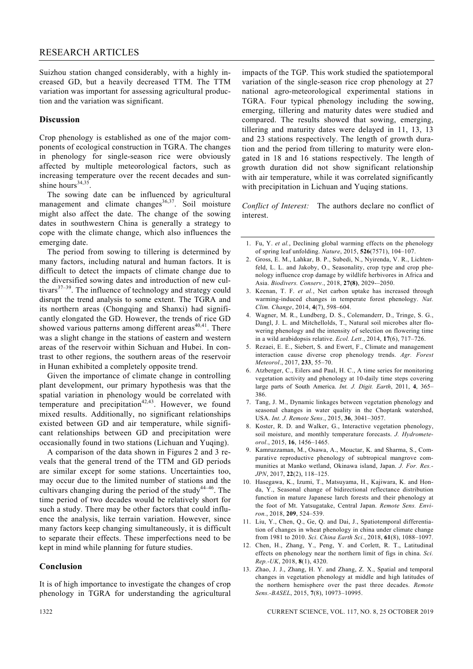Suizhou station changed considerably, with a highly increased GD, but a heavily decreased TTM. The TTM variation was important for assessing agricultural production and the variation was significant.

#### **Discussion**

Crop phenology is established as one of the major components of ecological construction in TGRA. The changes in phenology for single-season rice were obviously affected by multiple meteorological factors, such as increasing temperature over the recent decades and sunshine hours $34,35$ .

 The sowing date can be influenced by agricultural management and climate changes  $36,37$ . Soil moisture might also affect the date. The change of the sowing dates in southwestern China is generally a strategy to cope with the climate change, which also influences the emerging date.

 The period from sowing to tillering is determined by many factors, including natural and human factors. It is difficult to detect the impacts of climate change due to the diversified sowing dates and introduction of new cultivars $37-39$ . The influence of technology and strategy could disrupt the trend analysis to some extent. The TGRA and its northern areas (Chongqing and Shanxi) had significantly elongated the GD. However, the trends of rice GD showed various patterns among different areas<sup> $40,41$ </sup>. There was a slight change in the stations of eastern and western areas of the reservoir within Sichuan and Hubei. In contrast to other regions, the southern areas of the reservoir in Hunan exhibited a completely opposite trend.

 Given the importance of climate change in controlling plant development, our primary hypothesis was that the spatial variation in phenology would be correlated with temperature and precipitation<sup>42,43</sup>. However, we found mixed results. Additionally, no significant relationships existed between GD and air temperature, while significant relationships between GD and precipitation were occasionally found in two stations (Lichuan and Yuqing).

 A comparison of the data shown in Figures 2 and 3 reveals that the general trend of the TTM and GD periods are similar except for some stations. Uncertainties too, may occur due to the limited number of stations and the cultivars changing during the period of the study<sup>44-46</sup>. The time period of two decades would be relatively short for such a study. There may be other factors that could influence the analysis, like terrain variation. However, since many factors keep changing simultaneously, it is difficult to separate their effects. These imperfections need to be kept in mind while planning for future studies.

#### **Conclusion**

It is of high importance to investigate the changes of crop phenology in TGRA for understanding the agricultural

impacts of the TGP. This work studied the spatiotemporal variation of the single-season rice crop phenology at 27 national agro-meteorological experimental stations in TGRA. Four typical phenology including the sowing, emerging, tillering and maturity dates were studied and compared. The results showed that sowing, emerging, tillering and maturity dates were delayed in 11, 13, 13 and 23 stations respectively. The length of growth duration and the period from tillering to maturity were elongated in 18 and 16 stations respectively. The length of growth duration did not show significant relationship with air temperature, while it was correlated significantly with precipitation in Lichuan and Yuqing stations.

*Conflict of Interest:* The authors declare no conflict of interest.

- 1. Fu, Y. *et al.*, Declining global warming effects on the phenology of spring leaf unfolding. *Nature*, 2015, **526**(7571), 104–107.
- 2. Gross, E. M., Lahkar, B. P., Subedi, N., Nyirenda, V. R., Lichtenfeld, L. L. and Jakoby, O., Seasonality, crop type and crop phenology influence crop damage by wildlife herbivores in Africa and Asia. *Biodivers. Conserv.*, 2018, **27(8)**, 2029-–2050.
- 3. Keenan, T. F. *et al.*, Net carbon uptake has increased through warming-induced changes in temperate forest phenology. *Nat. Clim. Change*, 2014, **4**(7), 598–604.
- 4. Wagner, M. R., Lundberg, D. S., Colemanderr, D., Tringe, S. G., Dangl, J. L. and Mitchellolds, T., Natural soil microbes alter flowering phenology and the intensity of selection on flowering time in a wild arabidopsis relative. *Ecol. Lett*., 2014, **17**(6), 717–726.
- 5. Rezaei, E. E., Siebert, S. and Ewert, F., Climate and management interaction cause diverse crop phenology trends. *Agr. Forest Meteorol*., 2017, **233**, 55–70.
- 6. Atzberger, C., Eilers and Paul, H. C., A time series for monitoring vegetation activity and phenology at 10-daily time steps covering large parts of South America. *Int. J. Digit. Earth*, 2011, **4**, 365– 386.
- 7. Tang, J. M., Dynamic linkages between vegetation phenology and seasonal changes in water quality in the Choptank watershed, USA. *Int. J. Remote Sens*., 2015, **36**, 3041–3057.
- 8. Koster, R. D. and Walker, G., Interactive vegetation phenology, soil moisture, and monthly temperature forecasts. *J. Hydrometeorol*., 2015, **16**, 1456–1465.
- 9. Kamruzzaman, M., Osawa, A., Mouctar, K. and Sharma, S., Comparative reproductive phenology of subtropical mangrove communities at Manko wetland, Okinawa island, Japan. *J. For. Res.- JPN*, 2017, **22**(2), 118–125.
- 10. Hasegawa, K., Izumi, T., Matsuyama, H., Kajiwara, K. and Honda, Y., Seasonal change of bidirectional reflectance distribution function in mature Japanese larch forests and their phenology at the foot of Mt. Yatsugatake, Central Japan. *Remote Sens. Environ.*, 2018, **209**, 524–539.
- 11. Liu, Y., Chen, Q., Ge, Q. and Dai, J., Spatiotemporal differentiation of changes in wheat phenology in china under climate change from 1981 to 2010. *Sci. China Earth Sci*., 2018, **61**(8), 1088–1097.
- 12. Chen, H., Zhang, Y., Peng, Y. and Corlett, R. T., Latitudinal effects on phenology near the northern limit of figs in china. *Sci. Rep.-UK*, 2018, **8**(1), 4320.
- 13. Zhao, J. J., Zhang, H. Y. and Zhang, Z. X., Spatial and temporal changes in vegetation phenology at middle and high latitudes of the northern hemisphere over the past three decades. *Remote Sens.-BASEL*, 2015, **7**(8), 10973–10995.

1322 CURRENT SCIENCE, VOL. 117, NO. 8, 25 OCTOBER 2019